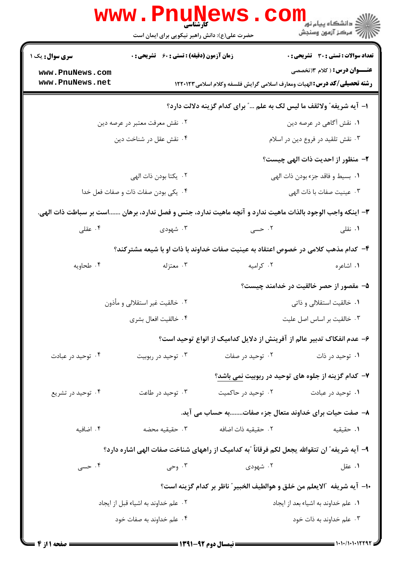|                                                                     | <b>www.PnuNews</b><br>کارشناسی                                                                            |                                                                                 | ڪ دانشڪاه پيا <sub>م</sub> نور<br><mark>√</mark> مرڪز آزمون وسنڊش |  |
|---------------------------------------------------------------------|-----------------------------------------------------------------------------------------------------------|---------------------------------------------------------------------------------|-------------------------------------------------------------------|--|
|                                                                     | حضرت علی(ع): دانش راهبر نیکویی برای ایمان است                                                             |                                                                                 |                                                                   |  |
| <b>سری سوال:</b> یک ۱                                               | زمان آزمون (دقیقه) : تستی : 60 ٪ تشریحی : 0                                                               |                                                                                 | <b>تعداد سوالات : تستی : 30 ٪ تشریحی : 0</b>                      |  |
| www.PnuNews.com<br>www.PnuNews.net                                  |                                                                                                           | <b>رشته تحصیلی/گد درس:</b> الهیات ومعارف اسلامی گرایش فلسفه وکلام اسلامی۱۲۲۰۱۲۳ | <b>عنـــوان درس:</b> ( کلام ۱۳ تخصصی                              |  |
| ا- آيه شريفه" ولاثقف ما ليس لک به علم " براي کدام گزينه دلالت دارد؟ |                                                                                                           |                                                                                 |                                                                   |  |
|                                                                     | ۰۲ نقش معرفت معتبر در عرصه دين                                                                            |                                                                                 | ۰۱ نقش آگاهی در عرصه دین                                          |  |
|                                                                     | ۰۴ نقش عقل در شناخت دین                                                                                   |                                                                                 | ۰۳ نقش تلقید در فروع دین در اسلام                                 |  |
|                                                                     |                                                                                                           |                                                                                 | ۲- منظور از احدیت ذات الهی چیست؟                                  |  |
|                                                                     | ٢. يكتا بودن ذات الهي                                                                                     |                                                                                 | ٠١. بسيط و فاقد جزء بودن ذات الهي                                 |  |
| ۰۴ یکی بودن صفات ذات و صفات فعل خدا                                 |                                                                                                           |                                                                                 | ۰۳ عینیت صفات با ذات الهی                                         |  |
|                                                                     | ۳- اینکه واجب الوجود بالذات ماهیت ندارد و آنچه ماهیت ندارد، جنس و فصل ندارد، برهان است بر سباطت ذات الهی. |                                                                                 |                                                                   |  |
| ۰۴ عقلی                                                             | ۰۳ شهودی                                                                                                  | ۰۲ حسی                                                                          | ۰۱ نقلی                                                           |  |
|                                                                     | ۴– کدام مذهب کلامی در خصوص اعتقاد به عینیت صفات خداوند با ذات او با شیعه مشترکند؟                         |                                                                                 |                                                                   |  |
| ۰۴ طحاویه                                                           | ۰۳ معتزله                                                                                                 | ۰۲ کرامیه                                                                       | ۰۱ اشاعره                                                         |  |
|                                                                     |                                                                                                           |                                                                                 | ۵– مقصور از حصر خالقیت در خدامند چیست؟                            |  |
|                                                                     | ۰۲ خالقیت غیر استقلالی و مأذون                                                                            |                                                                                 | ۰۱ خالقیت استقلالی و ذاتی                                         |  |
|                                                                     | ۰۴ خالقیت افعال بشری                                                                                      |                                                                                 | ۰۳ خالقیت بر اساس اصل علیت                                        |  |
|                                                                     |                                                                                                           | ۶– عدم انفکاک تدبیر عالم از آفرینش از دلایل کدامیک از انواع توحید است؟          |                                                                   |  |
| ۰۴ توحید در عبادت                                                   | ۰۳ توحید در ربوبیت                                                                                        | ۰۲ توحید در صفات                                                                | ۰۱ توحید در ذات                                                   |  |
|                                                                     |                                                                                                           |                                                                                 | ۷- کدام گزینه از جلوه های توحید در ربوبیت نمی باشد؟               |  |
| ۰۴ توحید در تشریع                                                   | ۰۳ توحید در طاعت                                                                                          | ۰۲ توحید در حاکمیت                                                              | ۰۱ توحید در عبادت                                                 |  |
|                                                                     |                                                                                                           | ۸– صفت حیات برای خداوند متعال جزء صفاتبه حساب می آید.                           |                                                                   |  |
| ۰۴ اضافیه                                                           | ۰۳ حقیقیه محضه                                                                                            | ٠٢ حقيقيه ذات اضافه                                                             | ٠١. حقيقيه                                                        |  |
|                                                                     | ۹– آیه شریفه ؒ ان تتقوالله یجعل لکم فرقاناً ؒبه کدامیک از راههای شناخت صفات الهی اشاره دارد؟              |                                                                                 |                                                                   |  |
| ۰۴ حسی $\cdot$                                                      | ۰۳ وحی $\cdot$                                                                                            | ۰۲ شهودی                                                                        | ۰۱ عقل                                                            |  |
|                                                                     | ∙ا− آيه شريفه ″الايعلم من خلق و هوالطيف الخبير″ ناظر بر كدام گزينه است؟                                   |                                                                                 |                                                                   |  |
|                                                                     | ۰۲ علم خداوند به اشياء قبل از ايجاد                                                                       |                                                                                 | ۰۱ علم خداوند به اشياء بعد از ايجاد                               |  |
|                                                                     | ۰۴ علم خداوند به صفات خود                                                                                 |                                                                                 | ۰۳ علم خداوند به ذات خود                                          |  |
|                                                                     |                                                                                                           |                                                                                 |                                                                   |  |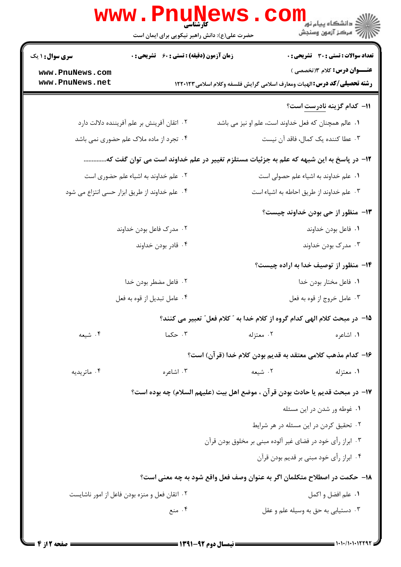|                                                                                        | <b>www.PnuNews</b>                                 |                                                                                            | دانشگاه پيام نور<br>ا∛ مرکز آزمون وسنجش                                                                                                                                |
|----------------------------------------------------------------------------------------|----------------------------------------------------|--------------------------------------------------------------------------------------------|------------------------------------------------------------------------------------------------------------------------------------------------------------------------|
|                                                                                        | حضرت علی(ع): دانش راهبر نیکویی برای ایمان است      |                                                                                            |                                                                                                                                                                        |
| <b>سری سوال :</b> ۱ یک<br>www.PnuNews.com<br>www.PnuNews.net                           | <b>زمان آزمون (دقیقه) : تستی : 60 ٪ تشریحی : 0</b> |                                                                                            | <b>تعداد سوالات : تستي : 30 ٪ تشريحي : 0</b><br><b>عنـــوان درس:</b> کلام ۱۳تخصصی )<br><b>رشته تحصیلی/کد درس:</b> الهیات ومعارف اسلامی گرایش فلسفه وکلام اسلامی1۲۲۰۱۲۳ |
|                                                                                        |                                                    |                                                                                            | <del>۱۱</del> - کدام گزینه <u>نادرست</u> است؟                                                                                                                          |
|                                                                                        |                                                    |                                                                                            |                                                                                                                                                                        |
| ۰۲ اتقان آفرینش بر علم آفریننده دلالت دارد<br>۰۴ تجرد از ماده ملاک علم حضوری نمی باشد  |                                                    | ۰۱ عالم همچنان که فعل خداوند است، علم او نیز می باشد<br>٠٣ عطا كننده يك كمال، فاقد آن نيست |                                                                                                                                                                        |
| ۱۲– در پاسخ به این شبهه که علم به جزئیات مستلزم تغییر در علم خداوند است می توان گفت که |                                                    |                                                                                            |                                                                                                                                                                        |
|                                                                                        |                                                    |                                                                                            |                                                                                                                                                                        |
| ۰۲ علم خداوند به اشیاء علم حضوری است<br>۰۴ علم خداوند از طریق ابزار حسی انتزاع می شود  |                                                    | ٠١ علم خداوند به اشياء علم حصولي است<br>۰۳ علم خداوند از طريق احاطه به اشياء است           |                                                                                                                                                                        |
|                                                                                        |                                                    |                                                                                            |                                                                                                                                                                        |
|                                                                                        | ۰۲ مدرک فاعل بودن خداوند                           |                                                                                            | <b>۱۳</b> - منظور از حی بودن خداوند چیست؟                                                                                                                              |
|                                                                                        | ۰۴ قادر بودن خداوند                                | ٠١. فاعل بودن خداوند<br>۰۳ مدرک بودن خداوند                                                |                                                                                                                                                                        |
|                                                                                        |                                                    |                                                                                            |                                                                                                                                                                        |
|                                                                                        |                                                    |                                                                                            | ۱۴– منظور از توصیف خدا به اراده چیست؟                                                                                                                                  |
| ۰۲ فاعل مضطر بودن خدا                                                                  |                                                    | ۰۱ فاعل مختار بودن خدا<br>۰۳ عامل خروج از قوه به فعل                                       |                                                                                                                                                                        |
|                                                                                        | ۰۴ عامل تبديل از قوه به فعل                        |                                                                                            |                                                                                                                                                                        |
|                                                                                        |                                                    |                                                                                            | 1۵– در مبحث کلام الهی کدام گروه از کلام خدا به ″ کلام فعل″ تعبیر می کنند؟                                                                                              |
| ۰۴ شیعه                                                                                | ۰۳ حکما                                            | ۰۲ معتزله                                                                                  | ٠١. اشاعره                                                                                                                                                             |
|                                                                                        |                                                    |                                                                                            | ۱۶– كدام مذهب كلامي معتقد به قديم بودن كلام خدا (قرآن) است؟                                                                                                            |
| ۰۴ ماتريديه                                                                            | ۰۳ اشاعره                                          | ۰۲ شیعه                                                                                    | ۰۱ معتزله                                                                                                                                                              |
|                                                                                        |                                                    |                                                                                            | ١٧– در مبحث قديم يا حادث بودن قرآن ، موضع اهل بيت (عليهم السلام) چه بوده است؟                                                                                          |
|                                                                                        |                                                    |                                                                                            | ۰۱ غوطه ور شدن در این مسئله                                                                                                                                            |
|                                                                                        |                                                    |                                                                                            | ۰۲ تحقیق کردن در این مسئله در هر شرایط                                                                                                                                 |
|                                                                                        |                                                    | ۰۳ ابراز رأی خود در فضای غیر آلوده مبنی بر مخلوق بودن قرآن                                 |                                                                                                                                                                        |
|                                                                                        |                                                    |                                                                                            | ۰۴ ابراز رأی خود مبنی بر قدیم بودن قرآن                                                                                                                                |
|                                                                                        |                                                    |                                                                                            | ۱۸– حکمت در اصطلاح متکلمان اگر به عنوان وصف فعل واقع شود به چه معنی است؟                                                                                               |
|                                                                                        | ۰۲ اتقان فعل و منزه بودن فاعل از امور ناشايست      |                                                                                            | ۰۱ علم افضل و اکمل                                                                                                                                                     |
|                                                                                        | ۰۴ منع                                             |                                                                                            | ۰۳ دستیابی به حق به وسیله علم و عقل                                                                                                                                    |
|                                                                                        |                                                    |                                                                                            |                                                                                                                                                                        |

1.1.11.1.1229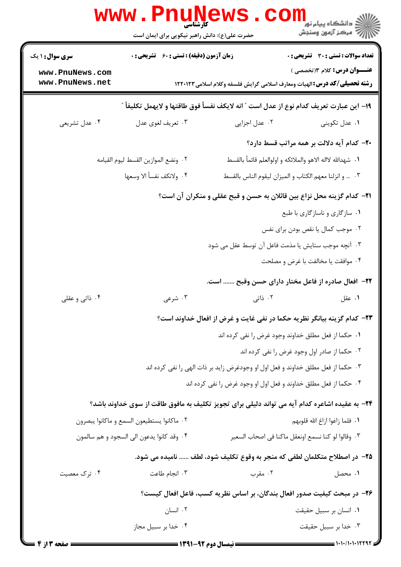|                                                                                       | www.PnuNews<br>حضرت علی(ع): دانش راهبر نیکویی برای ایمان است                                     |                                                                                                | ڪ دانشڪاه پيا <sub>م</sub> نور<br>7- مرڪز آزمون وسنڊش                               |  |  |
|---------------------------------------------------------------------------------------|--------------------------------------------------------------------------------------------------|------------------------------------------------------------------------------------------------|-------------------------------------------------------------------------------------|--|--|
| <b>سری سوال : ۱ یک</b><br>www.PnuNews.com                                             | <b>زمان آزمون (دقیقه) : تستی : 60 ٪ تشریحی : 0</b>                                               |                                                                                                | <b>تعداد سوالات : تستی : 30 ٪ تشریحی : 0</b><br><b>عنـــوان درس:</b> کلام ۱۳تخصصی ) |  |  |
| www.PnuNews.net                                                                       |                                                                                                  | <b>رشته تحصیلی/کد درس: ا</b> لهیات ومعارف اسلامی گرایش فلسفه وکلام اسلامی ۱۲۲۰۱۲۳              |                                                                                     |  |  |
| ١٩- اين عبارت تعريف كدام نوع از عدل است " انه لايكف نفسأ فوق طاقتها و لايهمل تكليفأ " |                                                                                                  |                                                                                                |                                                                                     |  |  |
| ۰۴ عدل تشریعی                                                                         | ۰۳ تعريف لغوي عدل                                                                                | ۰۲ عدل اجزایی                                                                                  | ۰۱ عدل تکوینی                                                                       |  |  |
|                                                                                       |                                                                                                  |                                                                                                | ۲۰– کدام آیه دلالت بر همه مراتب قسط دارد؟                                           |  |  |
|                                                                                       | ٢. ونضع الموازين القسط ليوم القيامه                                                              | ١.  شهدالله لااله الاهو والملائكه و اولوالعلم قائماً بالقسط                                    |                                                                                     |  |  |
|                                                                                       | ۴. ولانكف نفسأ الا وسعها                                                                         | ٠٣  وانزلنا معهم الكتاب والميزان ليقوم الناس بالقسط                                            |                                                                                     |  |  |
| <b>۲۱</b> - کدام گزینه محل نزاع بین قائلان به حسن و قبح عقلی و منکران آن است؟         |                                                                                                  |                                                                                                |                                                                                     |  |  |
|                                                                                       |                                                                                                  |                                                                                                | ۰۱ سازگاري و ناسازگاري با طبع                                                       |  |  |
|                                                                                       |                                                                                                  |                                                                                                | ۰۲ موجب کمال یا نقص بودن برای نفس                                                   |  |  |
|                                                                                       |                                                                                                  | ۰۳ آنچه موجب ستایش یا مذمت فاعل آن توسط عقل می شود                                             |                                                                                     |  |  |
|                                                                                       |                                                                                                  |                                                                                                | ۰۴ موافقت یا مخالفت با غرض و مصلحت                                                  |  |  |
|                                                                                       |                                                                                                  | ٢٢- افعال صادره از فاعل مختار دارای حسن وقبح  است.                                             |                                                                                     |  |  |
| ۰۴ ذاتی و عقلی                                                                        | ۰۳ شرعی                                                                                          | ۲. ذاتی                                                                                        | ۰۱ عقل                                                                              |  |  |
| <b>۳۳</b> − کدام گزینه بیانگر نظریه حکما در نفی غایت و غرض از افعال خداوند است؟       |                                                                                                  |                                                                                                |                                                                                     |  |  |
|                                                                                       |                                                                                                  | ٠١. حكما از فعل مطلق خداوند وجود غرض را نفي كرده اند                                           |                                                                                     |  |  |
|                                                                                       | ۰۲ حکما از صادر اول وجود غرض را نفی کرده اند                                                     |                                                                                                |                                                                                     |  |  |
|                                                                                       |                                                                                                  | ۰۳ حکما از فعل مطلق خداوند و فعل اول او وجودغرض زايد بر ذات الهي را نفي کرده اند               |                                                                                     |  |  |
|                                                                                       |                                                                                                  | ۰۴ حکما از فعل مطلق خداوند و فعل اول او وجود غرض را نفی کرده اند                               |                                                                                     |  |  |
|                                                                                       |                                                                                                  | ۲۴– به عقیده اشاعره کدام آیه می تواند دلیلی برای تجویز تکلیف به مافوق طاقت از سوی خداوند باشد؟ |                                                                                     |  |  |
| ٠٢ ماكانوا يستطيعون السمع و ماكانوا يبصرون                                            |                                                                                                  | ٠١. فلما زاغوا ازاغ الله قلوبهم                                                                |                                                                                     |  |  |
|                                                                                       | ۰۴ وقد كانوا يدعون الى السجود و هم سالمون<br>٣.  وقالوا لو كنا نسمع اونعقل ماكنا في اصحاب السعير |                                                                                                |                                                                                     |  |  |
|                                                                                       |                                                                                                  | ٢٥- در اصطلاح متكلمان لطفي كه منجر به وقوع تكليف شود، لطف  ناميده مي شود.                      |                                                                                     |  |  |
| ۰۴ ترک معصیت                                                                          | ۰۳ انجام طاعت                                                                                    | ۰۲ مقرب                                                                                        | ۰۱. محصل                                                                            |  |  |
| ۲۶- در مبحث کیفیت صدور افعال بندگان، بر اساس نظریه کسب، فاعل افعال کیست؟              |                                                                                                  |                                                                                                |                                                                                     |  |  |
|                                                                                       | ۰۲ انسان                                                                                         |                                                                                                | ۰۱ انسان بر سبیل حقیقت                                                              |  |  |
|                                                                                       | ۰۴ خدا بر سبیل مجاز                                                                              |                                                                                                | ۰۳ خدا بر سبيل حقيقت                                                                |  |  |
| صفحه 3 از                                                                             |                                                                                                  |                                                                                                |                                                                                     |  |  |